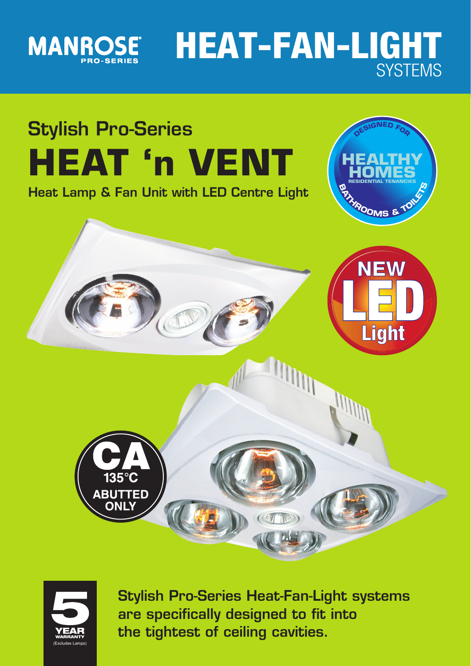

# **HEAT-FAN-LIGHT SYSTEMS**





**Stylish Pro-Series Heat-Fan-Light systems are specifically designed to fit into the tightest of ceiling cavities.**